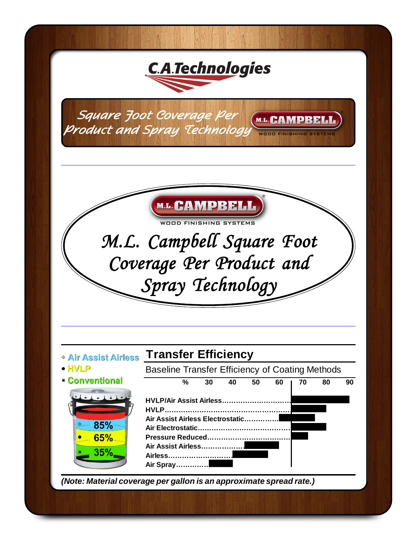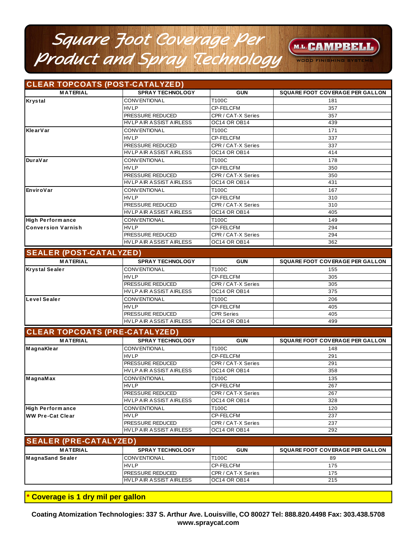## Square Foot Coverage Per<br>Product and Spray Technology M.L. CAMPBELL WOOD FINISHING SYSTE

#### CLEAR TOPCOATS (POST-CATALYZED) **MATERIAL SPRAY TECHNOLOGY GUN** SQUARE FOOT COVERAGE PER GALLON CONVENTIONAL **T100C**  $181$ **HVLP** CP-FELCFM 357 PRESSURE REDUCED CPR / CAT-X Series  $357$ **HVLP AIR ASSIST AIRLESS OC14 OR OB14** 439 **CONVENTIONAL** T100C 171  $HVI$  P CP-FELCFM 337 PRESSURE REDUCED CPR / CAT-X Series 337 HVLP AIR ASSIST AIRLESS OC14 OR OB14  $414$ CONVENTIONAL T100C 178 **HVLP** CP-FELCFM 350 PRESSURE REDUCED CPR / CAT-X Series  $\overline{350}$ **OC14 OR OB14** HVLP AIR ASSIST AIRLESS 431 **CONVENTIONAL** T100C 167 **HVLP** CP-FELCFM 310 PRESSURE REDUCED CPR / CAT-X Series 310 HVLP AIR ASSIST AIRLESS **OC14 OR OB14** 405 **High Performance** CONVENTIONAL T100C 149 **HVLP** CP-FELCFM 294 **Conversion Varnish** PRESSURE REDUCED CPR / CAT-X Series 294 HVLP AIR ASSIST AIRLESS OC14 OR OB14  $362$

| <b>SEALER (POST-CATALYZED)</b> |
|--------------------------------|
|                                |

Krystal

KlearVar

**DuraVar** 

EnviroVar

| <b>MATERIAL</b>       | <b>SPRAY TECHNOLOGY</b>        | <b>GUN</b>           | <b>SQUARE FOOT COVERAGE PER GALLON</b> |  |
|-----------------------|--------------------------------|----------------------|----------------------------------------|--|
| <b>Krystal Sealer</b> | <b>CONVENTIONAL</b>            | T100C                | 155                                    |  |
|                       | <b>HVLP</b>                    | CP-FELCFM            | 305                                    |  |
|                       | <b>I</b> PRESSURE REDUCED      | CPR / CAT-X Series   | 305                                    |  |
|                       | HVLP AIR ASSIST AIRLESS        | IOC14 OR OB14        | 375                                    |  |
| Level Sealer          | <b>CONVENTIONAL</b>            | T100C                | 206                                    |  |
|                       | <b>HVLP</b>                    | CP-FELCFM            | 405                                    |  |
|                       | <b>PRESSURE REDUCED</b>        | <b>CPR Series</b>    | 405                                    |  |
|                       | <b>HVLP AIR ASSIST AIRLESS</b> | <b>IOC14 OR OB14</b> | 499                                    |  |

| <b>MATERIAL</b>               | <b>SPRAY TECHNOLOGY</b>        | <b>GUN</b>         | SQUARE FOOT COVERAGE PER GALLON |
|-------------------------------|--------------------------------|--------------------|---------------------------------|
| MagnaKlear                    | <b>CONVENTIONAL</b>            | T100C              | 148                             |
|                               | <b>HVLP</b>                    | CP-FELCFM          | 291                             |
|                               | PRESSURE REDUCED               | CPR / CAT-X Series | 291                             |
|                               | HVLP AIR ASSIST AIRLESS        | OC14 OR OB14       | 358                             |
| MagnaMax                      | <b>CONVENTIONAL</b>            | T100C              | 135                             |
|                               | <b>HVLP</b>                    | <b>CP-FELCFM</b>   | 267                             |
|                               | PRESSURE REDUCED               | CPR / CAT-X Series | 267                             |
|                               | <b>HVLP AIR ASSIST AIRLESS</b> | OC14 OR OB14       | 328                             |
| <b>High Performance</b>       | <b>CONVENTIONAL</b>            | T100C              | 120                             |
| WW Pre-Cat Clear              | <b>HVLP</b>                    | <b>CP-FELCFM</b>   | 237                             |
|                               | PRESSURE REDUCED               | CPR / CAT-X Series | 237                             |
|                               | HVLP AIR ASSIST AIRLESS        | OC14 OR OB14       | 292                             |
| <b>SEALER (PRE-CATALYZED)</b> |                                |                    |                                 |
| <b>MATERIAL</b>               | <b>SPRAY TECHNOLOGY</b>        | <b>GUN</b>         | SQUARE FOOT COVERAGE PER GALLON |
| <b>MagnaSand Sealer</b>       | <b>CONVENTIONAL</b>            | T100C              | 89                              |
|                               | <b>HVLP</b>                    | <b>CP-FELCFM</b>   | 175                             |
|                               | PRESSURE REDUCED               | CPR / CAT-X Series | 175                             |
|                               | HVLP AIR ASSIST AIRLESS        | OC14 OR OB14       | 215                             |

Coverage is 1 dry mil per gallon

Coating Atomization Technologies: 337 S. Arthur Ave. Louisville, CO 80027 Tel: 888.820.4498 Fax: 303.438.5708 www.spraycat.com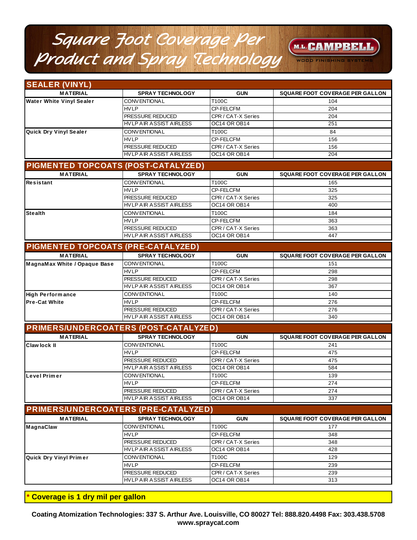# *Square Foot Coverage Per Product and Spray Technology*

# M.L.CAMPBEL

WOOD FINISHING

| <b>SEALER (VINYL)</b>                        |                                |                     |                                        |
|----------------------------------------------|--------------------------------|---------------------|----------------------------------------|
| <b>MATERIAL</b>                              | <b>SPRAY TECHNOLOGY</b>        | <b>GUN</b>          | SQUARE FOOT COVERAGE PER GALLON        |
| <b>Water White Vinyl Sealer</b>              | <b>CONVENTIONAL</b>            | T100C               | 104                                    |
|                                              | <b>HVLP</b>                    | CP-FELCFM           | 204                                    |
|                                              | PRESSURE REDUCED               | CPR / CAT-X Series  | 204                                    |
|                                              | <b>HVLP AIR ASSIST AIRLESS</b> | OC14 OR OB14        | 251                                    |
| Quick Dry Vinyl Sealer                       | <b>CONVENTIONAL</b>            | T100C               | 84                                     |
|                                              | <b>HVLP</b>                    | CP-FELCFM           | 156                                    |
|                                              | PRESSURE REDUCED               | CPR / CAT-X Series  | 156                                    |
|                                              | HVLP AIR ASSIST AIRLESS        | OC14 OR OB14        | 204                                    |
| PIGMENTED TOPCOATS (POST-CATALYZED)          |                                |                     |                                        |
| <b>MATERIAL</b>                              | <b>SPRAY TECHNOLOGY</b>        | <b>GUN</b>          | <b>SQUARE FOOT COVERAGE PER GALLON</b> |
| Resistant                                    | <b>CONVENTIONAL</b>            | T100C               | 165                                    |
|                                              | <b>HVLP</b>                    | <b>CP-FELCFM</b>    | 325                                    |
|                                              | PRESSURE REDUCED               | CPR / CAT-X Series  | 325                                    |
|                                              | HVLP AIR ASSIST AIRLESS        | OC14 OR OB14        | 400                                    |
| <b>Stealth</b>                               | <b>CONVENTIONAL</b>            | T100C               | 184                                    |
|                                              | <b>HVLP</b>                    | <b>CP-FELCFM</b>    | 363                                    |
|                                              | PRESSURE REDUCED               | CPR / CAT-X Series  | 363                                    |
|                                              | HVLP AIR ASSIST AIRLESS        | OC14 OR OB14        | 447                                    |
| <b>PIGMENTED TOPCOATS (PRE-CATALYZED)</b>    |                                |                     |                                        |
| <b>MATERIAL</b>                              | <b>SPRAY TECHNOLOGY</b>        | <b>GUN</b>          | <b>SQUARE FOOT COVERAGE PER GALLON</b> |
| MagnaMax White / Opaque Base                 | CONVENTIONAL                   | T100C               | 151                                    |
|                                              | <b>HVLP</b>                    | CP-FELCFM           | 298                                    |
|                                              | PRESSURE REDUCED               | CPR / CAT-X Series  | 298                                    |
|                                              | <b>HVLP AIR ASSIST AIRLESS</b> | OC14 OR OB14        | 367                                    |
| <b>High Performance</b>                      | <b>CONVENTIONAL</b>            | T100C               | 140                                    |
| <b>Pre-Cat White</b>                         | <b>HVLP</b>                    | CP-FELCFM           | 276                                    |
|                                              | PRESSURE REDUCED               | CPR / CAT-X Series  | 276                                    |
|                                              | <b>HVLP AIR ASSIST AIRLESS</b> | OC14 OR OB14        | 340                                    |
| <b>PRIMERS/UNDERCOATERS (POST-CATALYZED)</b> |                                |                     |                                        |
| <b>MATERIAL</b>                              | <b>SPRAY TECHNOLOGY</b>        | <b>GUN</b>          | SQUARE FOOT COVERAGE PER GALLON        |
| Claw lock II                                 | <b>CONVENTIONAL</b>            | T100C               | 241                                    |
|                                              | <b>HVLP</b>                    | CP-FELCFM           | 475                                    |
|                                              | PRESSURE REDUCED               | CPR / CAT-X Series  | 475                                    |
|                                              | <b>HVLP AIR ASSIST AIRLESS</b> | OC14 OR OB14        | 584                                    |
| Level Primer                                 | <b>CONVENTIONAL</b>            | T100C               | 139                                    |
|                                              | <b>HVLP</b>                    | CP-FELCFM           | 274                                    |
|                                              | PRESSURE REDUCED               | CPR / CAT-X Series  | 274                                    |
|                                              | <b>HVLP AIR ASSIST AIRLESS</b> | OC14 OR OB14        | 337                                    |
| <b>PRIMERS/UNDERCOATERS (PRE-CATALYZED)</b>  |                                |                     |                                        |
| <b>MATERIAL</b>                              | <b>SPRAY TECHNOLOGY</b>        | <b>GUN</b>          | <b>SQUARE FOOT COVERAGE PER GALLON</b> |
| <b>MagnaClaw</b>                             | CONVENTIONAL                   | T100C               | 177                                    |
|                                              | <b>HVLP</b>                    | CP-FELCFM           | 348                                    |
|                                              | PRESSURE REDUCED               | CPR / CAT-X Series  | 348                                    |
|                                              | <b>HVLP AIR ASSIST AIRLESS</b> | <b>OC14 OR OB14</b> | 428                                    |
| Quick Dry Vinyl Primer                       | CONVENTIONAL                   | T100C               | 129                                    |
|                                              | <b>HVLP</b>                    | CP-FELCFM           | 239                                    |
|                                              | PRESSURE REDUCED               | CPR / CAT-X Series  | 239                                    |
|                                              | <b>HVLP AIR ASSIST AIRLESS</b> | OC14 OR OB14        | 313                                    |
|                                              |                                |                     |                                        |

**\* Coverage is 1 dry mil per gallon**

**Coating Atomization Technologies: 337 S. Arthur Ave. Louisville, CO 80027 Tel: 888.820.4498 Fax: 303.438.5708 www.spraycat.com**